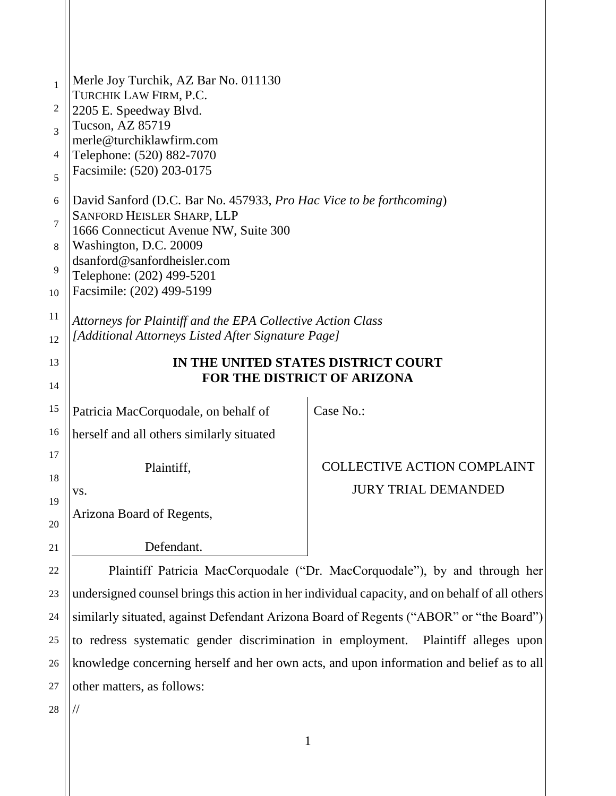| $\mathbf{1}$  | Merle Joy Turchik, AZ Bar No. 011130                                           |                                    |
|---------------|--------------------------------------------------------------------------------|------------------------------------|
| 2             | TURCHIK LAW FIRM, P.C.<br>2205 E. Speedway Blvd.                               |                                    |
| 3             | Tucson, AZ 85719                                                               |                                    |
|               | merle@turchiklawfirm.com                                                       |                                    |
| 4             | Telephone: (520) 882-7070<br>Facsimile: (520) 203-0175                         |                                    |
| 5             |                                                                                |                                    |
| 6             | David Sanford (D.C. Bar No. 457933, Pro Hac Vice to be forthcoming)            |                                    |
| 7             | SANFORD HEISLER SHARP, LLP<br>1666 Connecticut Avenue NW, Suite 300            |                                    |
| 8             | Washington, D.C. 20009                                                         |                                    |
| 9             | dsanford@sanfordheisler.com                                                    |                                    |
|               | Telephone: (202) 499-5201<br>Facsimile: (202) 499-5199                         |                                    |
| 10            |                                                                                |                                    |
| 11            | Attorneys for Plaintiff and the EPA Collective Action Class                    |                                    |
| 12            | [Additional Attorneys Listed After Signature Page]                             |                                    |
| 13            | IN THE UNITED STATES DISTRICT COURT                                            |                                    |
| 14            | FOR THE DISTRICT OF ARIZONA                                                    |                                    |
| 15            | Patricia MacCorquodale, on behalf of                                           | Case No.:                          |
| 16            | herself and all others similarly situated                                      |                                    |
| 17            |                                                                                |                                    |
| 18            | Plaintiff,                                                                     | <b>COLLECTIVE ACTION COMPLAINT</b> |
| 19            | VS.                                                                            | <b>JURY TRIAL DEMANDED</b>         |
| 20            | Arizona Board of Regents,                                                      |                                    |
|               |                                                                                |                                    |
| 21            | Defendant.<br>$\cdots$ or $\cdots$<br>$\mathbf{M}$<br>$\sim$ 1 1 $\sim$<br>(1) | $1 \t1 \t3 \t3 \t1$                |
| $\sim$ $\sim$ |                                                                                |                                    |

22 23 24 25 26 27 Plaintiff Patricia MacCorquodale ("Dr. MacCorquodale"), by and through her undersigned counsel brings this action in her individual capacity, and on behalf of all others similarly situated, against Defendant Arizona Board of Regents ("ABOR" or "the Board") to redress systematic gender discrimination in employment. Plaintiff alleges upon knowledge concerning herself and her own acts, and upon information and belief as to all other matters, as follows:

28

//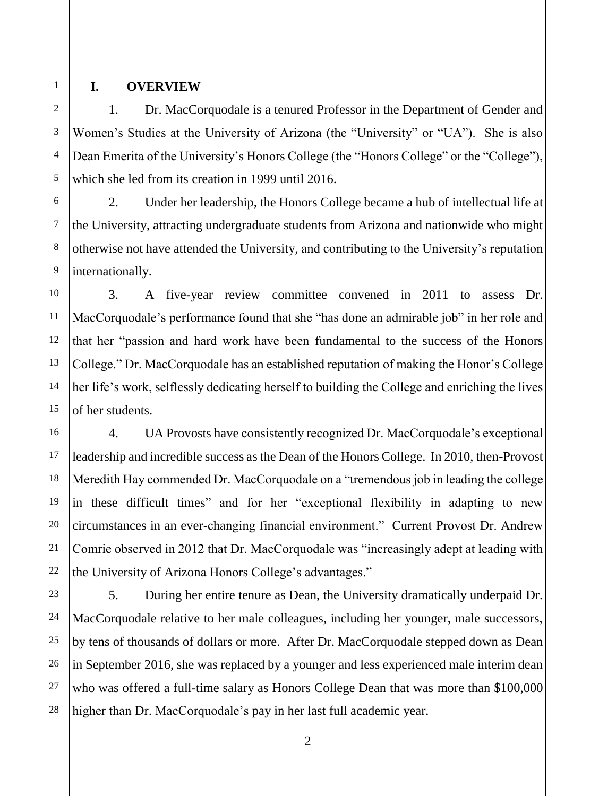## 1 2

3

4

5

16

17

18

19

20

21

22

27

#### **I. OVERVIEW**

1. Dr. MacCorquodale is a tenured Professor in the Department of Gender and Women's Studies at the University of Arizona (the "University" or "UA"). She is also Dean Emerita of the University's Honors College (the "Honors College" or the "College"), which she led from its creation in 1999 until 2016.

6 7 8 9 2. Under her leadership, the Honors College became a hub of intellectual life at the University, attracting undergraduate students from Arizona and nationwide who might otherwise not have attended the University, and contributing to the University's reputation internationally.

10 11 12 13 14 15 3. A five-year review committee convened in 2011 to assess Dr. MacCorquodale's performance found that she "has done an admirable job" in her role and that her "passion and hard work have been fundamental to the success of the Honors College." Dr. MacCorquodale has an established reputation of making the Honor's College her life's work, selflessly dedicating herself to building the College and enriching the lives of her students.

4. UA Provosts have consistently recognized Dr. MacCorquodale's exceptional leadership and incredible success as the Dean of the Honors College. In 2010, then-Provost Meredith Hay commended Dr. MacCorquodale on a "tremendous job in leading the college in these difficult times" and for her "exceptional flexibility in adapting to new circumstances in an ever-changing financial environment." Current Provost Dr. Andrew Comrie observed in 2012 that Dr. MacCorquodale was "increasingly adept at leading with the University of Arizona Honors College's advantages."

23 24 25 26 28 5. During her entire tenure as Dean, the University dramatically underpaid Dr. MacCorquodale relative to her male colleagues, including her younger, male successors, by tens of thousands of dollars or more. After Dr. MacCorquodale stepped down as Dean in September 2016, she was replaced by a younger and less experienced male interim dean who was offered a full-time salary as Honors College Dean that was more than \$100,000 higher than Dr. MacCorquodale's pay in her last full academic year.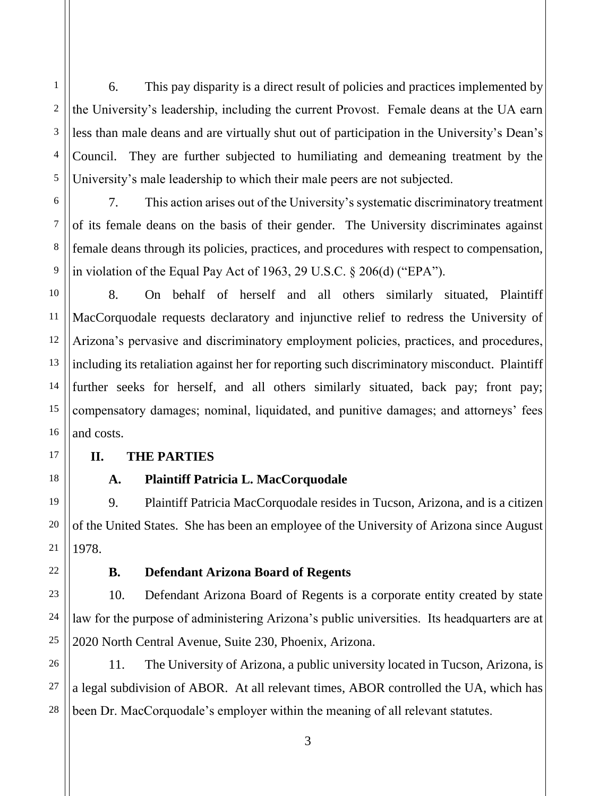6. This pay disparity is a direct result of policies and practices implemented by the University's leadership, including the current Provost. Female deans at the UA earn less than male deans and are virtually shut out of participation in the University's Dean's Council. They are further subjected to humiliating and demeaning treatment by the University's male leadership to which their male peers are not subjected.

7. This action arises out of the University's systematic discriminatory treatment of its female deans on the basis of their gender. The University discriminates against female deans through its policies, practices, and procedures with respect to compensation, in violation of the Equal Pay Act of 1963, 29 U.S.C. § 206(d) ("EPA").

8. On behalf of herself and all others similarly situated, Plaintiff MacCorquodale requests declaratory and injunctive relief to redress the University of Arizona's pervasive and discriminatory employment policies, practices, and procedures, including its retaliation against her for reporting such discriminatory misconduct. Plaintiff further seeks for herself, and all others similarly situated, back pay; front pay; compensatory damages; nominal, liquidated, and punitive damages; and attorneys' fees and costs.

## **II. THE PARTIES**

## **A. Plaintiff Patricia L. MacCorquodale**

9. Plaintiff Patricia MacCorquodale resides in Tucson, Arizona, and is a citizen of the United States. She has been an employee of the University of Arizona since August 1978.

## **B. Defendant Arizona Board of Regents**

10. Defendant Arizona Board of Regents is a corporate entity created by state law for the purpose of administering Arizona's public universities. Its headquarters are at 2020 North Central Avenue, Suite 230, Phoenix, Arizona.

11. The University of Arizona, a public university located in Tucson, Arizona, is a legal subdivision of ABOR. At all relevant times, ABOR controlled the UA, which has been Dr. MacCorquodale's employer within the meaning of all relevant statutes.

1

2

3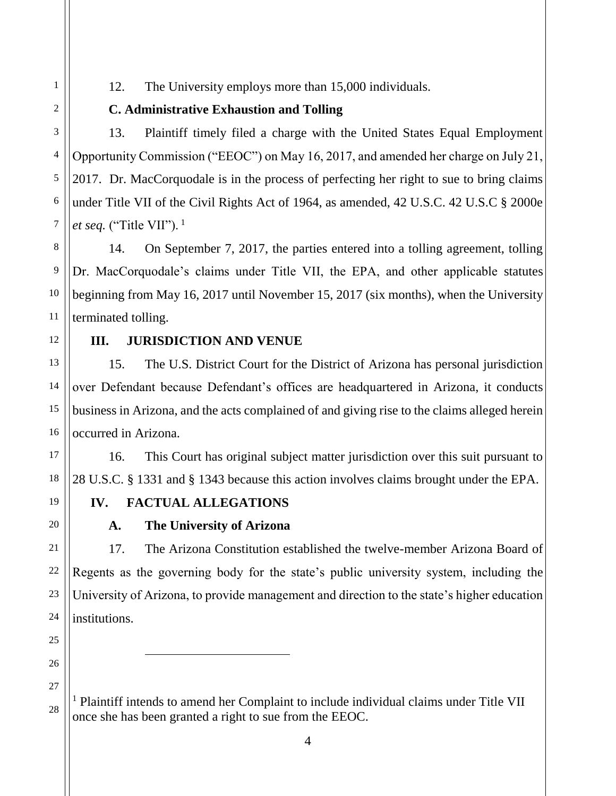12. The University employs more than 15,000 individuals.

## **C. Administrative Exhaustion and Tolling**

13. Plaintiff timely filed a charge with the United States Equal Employment Opportunity Commission ("EEOC") on May 16, 2017, and amended her charge on July 21, 2017. Dr. MacCorquodale is in the process of perfecting her right to sue to bring claims under Title VII of the Civil Rights Act of 1964, as amended, 42 U.S.C. 42 U.S.C § 2000e *et seq.* ("Title VII").<sup>1</sup>

14. On September 7, 2017, the parties entered into a tolling agreement, tolling Dr. MacCorquodale's claims under Title VII, the EPA, and other applicable statutes beginning from May 16, 2017 until November 15, 2017 (six months), when the University terminated tolling.

## **III. JURISDICTION AND VENUE**

15. The U.S. District Court for the District of Arizona has personal jurisdiction over Defendant because Defendant's offices are headquartered in Arizona, it conducts business in Arizona, and the acts complained of and giving rise to the claims alleged herein occurred in Arizona.

16. This Court has original subject matter jurisdiction over this suit pursuant to 28 U.S.C. § 1331 and § 1343 because this action involves claims brought under the EPA.

# **IV. FACTUAL ALLEGATIONS**

 $\overline{\phantom{a}}$ 

# **A. The University of Arizona**

17. The Arizona Constitution established the twelve-member Arizona Board of Regents as the governing body for the state's public university system, including the University of Arizona, to provide management and direction to the state's higher education institutions.

<sup>1</sup> Plaintiff intends to amend her Complaint to include individual claims under Title VII once she has been granted a right to sue from the EEOC.

1

2

3

4

5

6

7

8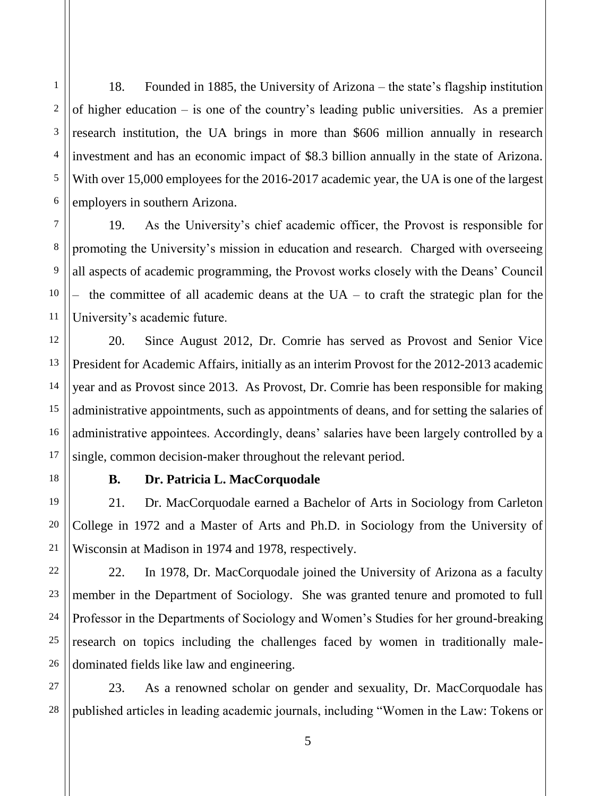18. Founded in 1885, the University of Arizona – the state's flagship institution of higher education – is one of the country's leading public universities. As a premier research institution, the UA brings in more than \$606 million annually in research investment and has an economic impact of \$8.3 billion annually in the state of Arizona. With over 15,000 employees for the 2016-2017 academic year, the UA is one of the largest employers in southern Arizona.

19. As the University's chief academic officer, the Provost is responsible for promoting the University's mission in education and research. Charged with overseeing all aspects of academic programming, the Provost works closely with the Deans' Council the committee of all academic deans at the  $UA -$  to craft the strategic plan for the University's academic future.

20. Since August 2012, Dr. Comrie has served as Provost and Senior Vice President for Academic Affairs, initially as an interim Provost for the 2012-2013 academic year and as Provost since 2013. As Provost, Dr. Comrie has been responsible for making administrative appointments, such as appointments of deans, and for setting the salaries of administrative appointees. Accordingly, deans' salaries have been largely controlled by a single, common decision-maker throughout the relevant period.

## **B. Dr. Patricia L. MacCorquodale**

21. Dr. MacCorquodale earned a Bachelor of Arts in Sociology from Carleton College in 1972 and a Master of Arts and Ph.D. in Sociology from the University of Wisconsin at Madison in 1974 and 1978, respectively.

22. In 1978, Dr. MacCorquodale joined the University of Arizona as a faculty member in the Department of Sociology. She was granted tenure and promoted to full Professor in the Departments of Sociology and Women's Studies for her ground-breaking research on topics including the challenges faced by women in traditionally maledominated fields like law and engineering.

23. As a renowned scholar on gender and sexuality, Dr. MacCorquodale has published articles in leading academic journals, including "Women in the Law: Tokens or

1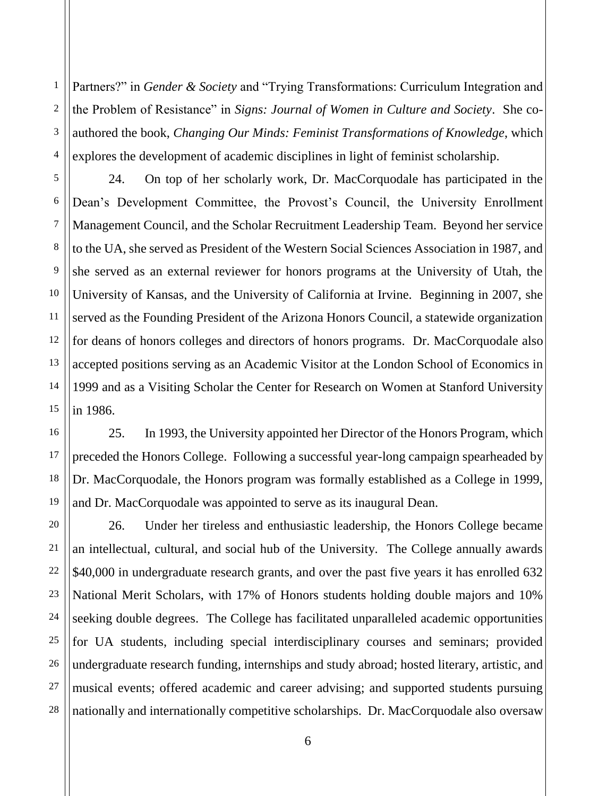1 2 3 4 Partners?" in *Gender & Society* and "Trying Transformations: Curriculum Integration and the Problem of Resistance" in *Signs: Journal of Women in Culture and Society*. She coauthored the book, *Changing Our Minds: Feminist Transformations of Knowledge*, which explores the development of academic disciplines in light of feminist scholarship.

5

6

7

8

9

10

11

12

13

14

15

16

17

18

19

20

21

22

23

24

25

26

27

28

24. On top of her scholarly work, Dr. MacCorquodale has participated in the Dean's Development Committee, the Provost's Council, the University Enrollment Management Council, and the Scholar Recruitment Leadership Team. Beyond her service to the UA, she served as President of the Western Social Sciences Association in 1987, and she served as an external reviewer for honors programs at the University of Utah, the University of Kansas, and the University of California at Irvine. Beginning in 2007, she served as the Founding President of the Arizona Honors Council, a statewide organization for deans of honors colleges and directors of honors programs. Dr. MacCorquodale also accepted positions serving as an Academic Visitor at the London School of Economics in 1999 and as a Visiting Scholar the Center for Research on Women at Stanford University in 1986.

25. In 1993, the University appointed her Director of the Honors Program, which preceded the Honors College. Following a successful year-long campaign spearheaded by Dr. MacCorquodale, the Honors program was formally established as a College in 1999, and Dr. MacCorquodale was appointed to serve as its inaugural Dean.

26. Under her tireless and enthusiastic leadership, the Honors College became an intellectual, cultural, and social hub of the University. The College annually awards \$40,000 in undergraduate research grants, and over the past five years it has enrolled 632 National Merit Scholars, with 17% of Honors students holding double majors and 10% seeking double degrees. The College has facilitated unparalleled academic opportunities for UA students, including special interdisciplinary courses and seminars; provided undergraduate research funding, internships and study abroad; hosted literary, artistic, and musical events; offered academic and career advising; and supported students pursuing nationally and internationally competitive scholarships. Dr. MacCorquodale also oversaw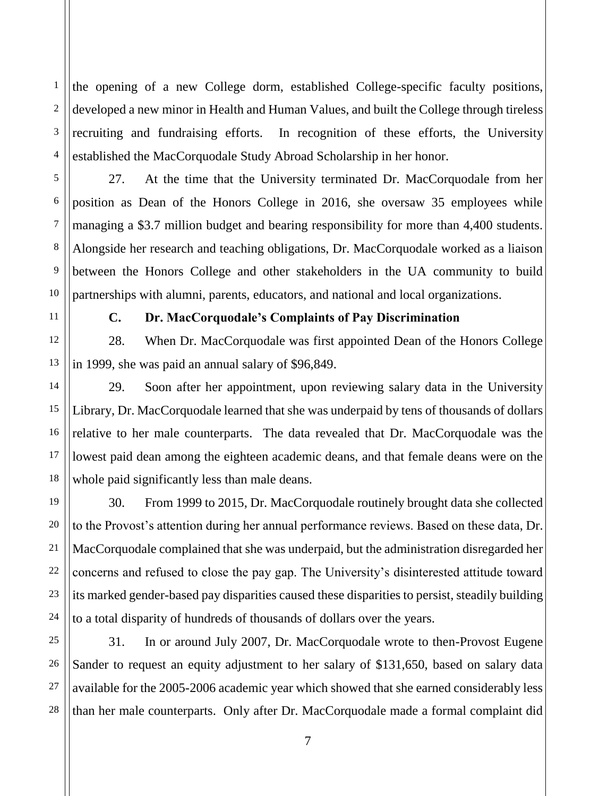1 2 3 4 the opening of a new College dorm, established College-specific faculty positions, developed a new minor in Health and Human Values, and built the College through tireless recruiting and fundraising efforts. In recognition of these efforts, the University established the MacCorquodale Study Abroad Scholarship in her honor.

27. At the time that the University terminated Dr. MacCorquodale from her position as Dean of the Honors College in 2016, she oversaw 35 employees while managing a \$3.7 million budget and bearing responsibility for more than 4,400 students. Alongside her research and teaching obligations, Dr. MacCorquodale worked as a liaison between the Honors College and other stakeholders in the UA community to build partnerships with alumni, parents, educators, and national and local organizations.

5

6

7

8

9

10

11

12

13

14

15

16

17

18

19

20

21

22

23

24

## **C. Dr. MacCorquodale's Complaints of Pay Discrimination**

28. When Dr. MacCorquodale was first appointed Dean of the Honors College in 1999, she was paid an annual salary of \$96,849.

29. Soon after her appointment, upon reviewing salary data in the University Library, Dr. MacCorquodale learned that she was underpaid by tens of thousands of dollars relative to her male counterparts. The data revealed that Dr. MacCorquodale was the lowest paid dean among the eighteen academic deans, and that female deans were on the whole paid significantly less than male deans.

30. From 1999 to 2015, Dr. MacCorquodale routinely brought data she collected to the Provost's attention during her annual performance reviews. Based on these data, Dr. MacCorquodale complained that she was underpaid, but the administration disregarded her concerns and refused to close the pay gap. The University's disinterested attitude toward its marked gender-based pay disparities caused these disparities to persist, steadily building to a total disparity of hundreds of thousands of dollars over the years.

25 26 27 28 31. In or around July 2007, Dr. MacCorquodale wrote to then-Provost Eugene Sander to request an equity adjustment to her salary of \$131,650, based on salary data available for the 2005-2006 academic year which showed that she earned considerably less than her male counterparts. Only after Dr. MacCorquodale made a formal complaint did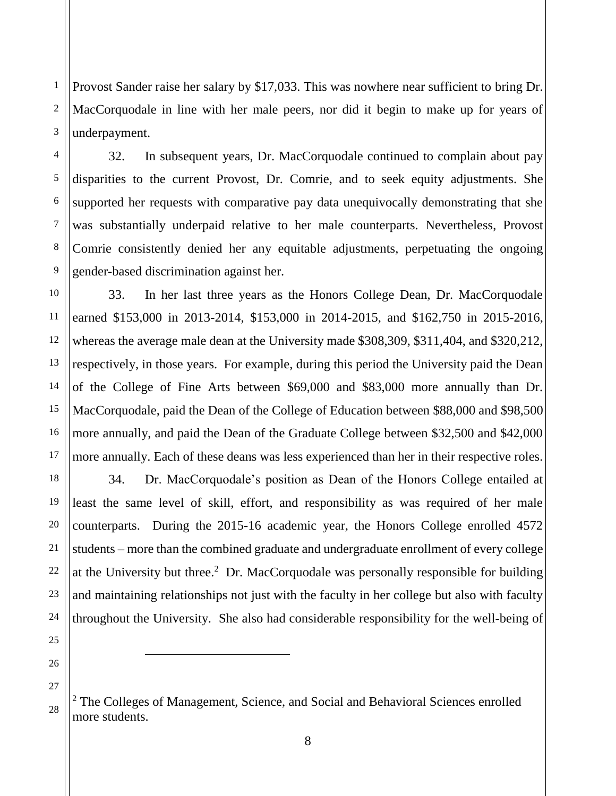1 2 3 Provost Sander raise her salary by \$17,033. This was nowhere near sufficient to bring Dr. MacCorquodale in line with her male peers, nor did it begin to make up for years of underpayment.

32. In subsequent years, Dr. MacCorquodale continued to complain about pay disparities to the current Provost, Dr. Comrie, and to seek equity adjustments. She supported her requests with comparative pay data unequivocally demonstrating that she was substantially underpaid relative to her male counterparts. Nevertheless, Provost Comrie consistently denied her any equitable adjustments, perpetuating the ongoing gender-based discrimination against her.

10 11 12 13 14 15 16 17 33. In her last three years as the Honors College Dean, Dr. MacCorquodale earned \$153,000 in 2013-2014, \$153,000 in 2014-2015, and \$162,750 in 2015-2016, whereas the average male dean at the University made \$308,309, \$311,404, and \$320,212, respectively, in those years. For example, during this period the University paid the Dean of the College of Fine Arts between \$69,000 and \$83,000 more annually than Dr. MacCorquodale, paid the Dean of the College of Education between \$88,000 and \$98,500 more annually, and paid the Dean of the Graduate College between \$32,500 and \$42,000 more annually. Each of these deans was less experienced than her in their respective roles.

34. Dr. MacCorquodale's position as Dean of the Honors College entailed at least the same level of skill, effort, and responsibility as was required of her male counterparts. During the 2015-16 academic year, the Honors College enrolled 4572 students – more than the combined graduate and undergraduate enrollment of every college at the University but three.<sup>2</sup> Dr. MacCorquodale was personally responsible for building and maintaining relationships not just with the faculty in her college but also with faculty throughout the University. She also had considerable responsibility for the well-being of

28

 $\overline{\phantom{a}}$ 

18

4

5

6

7

8

<sup>&</sup>lt;sup>2</sup> The Colleges of Management, Science, and Social and Behavioral Sciences enrolled more students.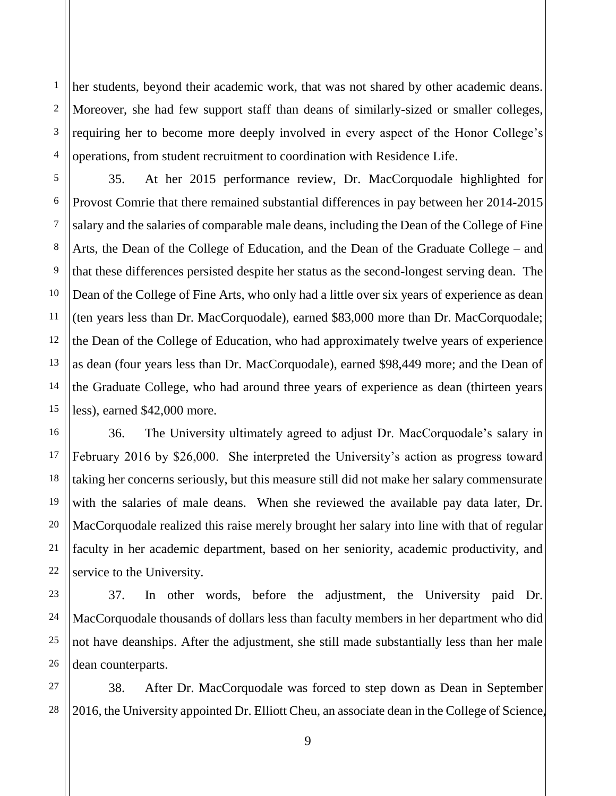1 2 3 4 her students, beyond their academic work, that was not shared by other academic deans. Moreover, she had few support staff than deans of similarly-sized or smaller colleges, requiring her to become more deeply involved in every aspect of the Honor College's operations, from student recruitment to coordination with Residence Life.

5 6 7 35. At her 2015 performance review, Dr. MacCorquodale highlighted for Provost Comrie that there remained substantial differences in pay between her 2014-2015 salary and the salaries of comparable male deans, including the Dean of the College of Fine Arts, the Dean of the College of Education, and the Dean of the Graduate College – and that these differences persisted despite her status as the second-longest serving dean. The Dean of the College of Fine Arts, who only had a little over six years of experience as dean (ten years less than Dr. MacCorquodale), earned \$83,000 more than Dr. MacCorquodale; the Dean of the College of Education, who had approximately twelve years of experience as dean (four years less than Dr. MacCorquodale), earned \$98,449 more; and the Dean of the Graduate College, who had around three years of experience as dean (thirteen years less), earned \$42,000 more.

36. The University ultimately agreed to adjust Dr. MacCorquodale's salary in February 2016 by \$26,000. She interpreted the University's action as progress toward taking her concerns seriously, but this measure still did not make her salary commensurate with the salaries of male deans. When she reviewed the available pay data later, Dr. MacCorquodale realized this raise merely brought her salary into line with that of regular faculty in her academic department, based on her seniority, academic productivity, and service to the University.

37. In other words, before the adjustment, the University paid Dr. MacCorquodale thousands of dollars less than faculty members in her department who did not have deanships. After the adjustment, she still made substantially less than her male dean counterparts.

38. After Dr. MacCorquodale was forced to step down as Dean in September 2016, the University appointed Dr. Elliott Cheu, an associate dean in the College of Science,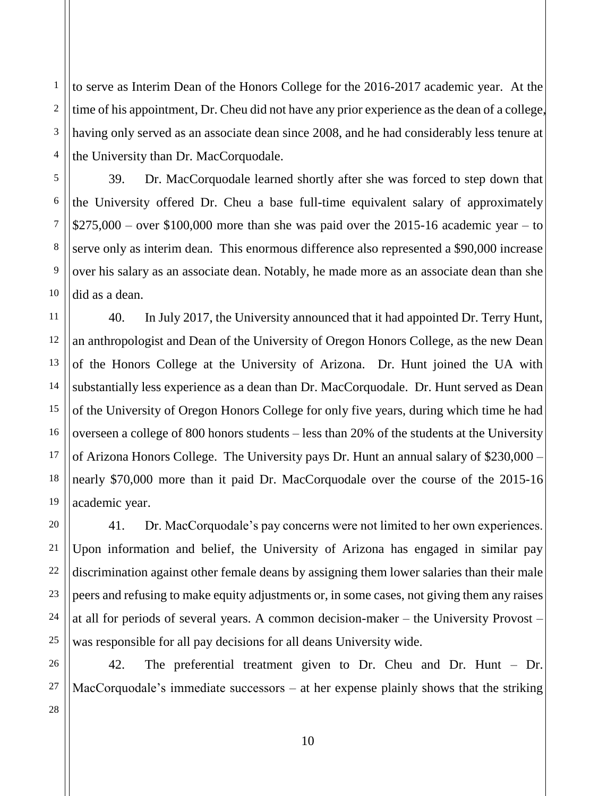1 2 3 4 to serve as Interim Dean of the Honors College for the 2016-2017 academic year. At the time of his appointment, Dr. Cheu did not have any prior experience as the dean of a college, having only served as an associate dean since 2008, and he had considerably less tenure at the University than Dr. MacCorquodale.

39. Dr. MacCorquodale learned shortly after she was forced to step down that the University offered Dr. Cheu a base full-time equivalent salary of approximately  $$275,000 - over $100,000$  more than she was paid over the 2015-16 academic year – to serve only as interim dean. This enormous difference also represented a \$90,000 increase over his salary as an associate dean. Notably, he made more as an associate dean than she did as a dean.

12 16 17 40. In July 2017, the University announced that it had appointed Dr. Terry Hunt, an anthropologist and Dean of the University of Oregon Honors College, as the new Dean of the Honors College at the University of Arizona. Dr. Hunt joined the UA with substantially less experience as a dean than Dr. MacCorquodale. Dr. Hunt served as Dean of the University of Oregon Honors College for only five years, during which time he had overseen a college of 800 honors students – less than 20% of the students at the University of Arizona Honors College. The University pays Dr. Hunt an annual salary of \$230,000 – nearly \$70,000 more than it paid Dr. MacCorquodale over the course of the 2015-16 academic year.

41. Dr. MacCorquodale's pay concerns were not limited to her own experiences. Upon information and belief, the University of Arizona has engaged in similar pay discrimination against other female deans by assigning them lower salaries than their male peers and refusing to make equity adjustments or, in some cases, not giving them any raises at all for periods of several years. A common decision-maker – the University Provost – was responsible for all pay decisions for all deans University wide.

42. The preferential treatment given to Dr. Cheu and Dr. Hunt – Dr. MacCorquodale's immediate successors – at her expense plainly shows that the striking

5

6

7

8

9

10

11

13

14

15

18

19

20

21

22

23

24

25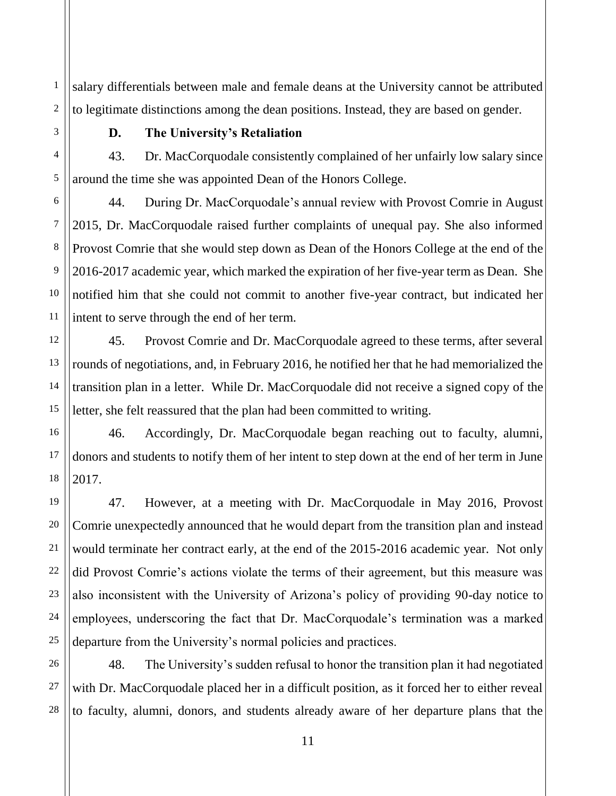salary differentials between male and female deans at the University cannot be attributed to legitimate distinctions among the dean positions. Instead, they are based on gender.

1

2

3

4

5

6

7

8

9

10

11

12

13

14

15

17

18

19

20

21

22

23

24

25

26

27

28

#### **D. The University's Retaliation**

43. Dr. MacCorquodale consistently complained of her unfairly low salary since around the time she was appointed Dean of the Honors College.

44. During Dr. MacCorquodale's annual review with Provost Comrie in August 2015, Dr. MacCorquodale raised further complaints of unequal pay. She also informed Provost Comrie that she would step down as Dean of the Honors College at the end of the 2016-2017 academic year, which marked the expiration of her five-year term as Dean. She notified him that she could not commit to another five-year contract, but indicated her intent to serve through the end of her term.

45. Provost Comrie and Dr. MacCorquodale agreed to these terms, after several rounds of negotiations, and, in February 2016, he notified her that he had memorialized the transition plan in a letter. While Dr. MacCorquodale did not receive a signed copy of the letter, she felt reassured that the plan had been committed to writing.

16 46. Accordingly, Dr. MacCorquodale began reaching out to faculty, alumni, donors and students to notify them of her intent to step down at the end of her term in June 2017.

47. However, at a meeting with Dr. MacCorquodale in May 2016, Provost Comrie unexpectedly announced that he would depart from the transition plan and instead would terminate her contract early, at the end of the 2015-2016 academic year. Not only did Provost Comrie's actions violate the terms of their agreement, but this measure was also inconsistent with the University of Arizona's policy of providing 90-day notice to employees, underscoring the fact that Dr. MacCorquodale's termination was a marked departure from the University's normal policies and practices.

48. The University's sudden refusal to honor the transition plan it had negotiated with Dr. MacCorquodale placed her in a difficult position, as it forced her to either reveal to faculty, alumni, donors, and students already aware of her departure plans that the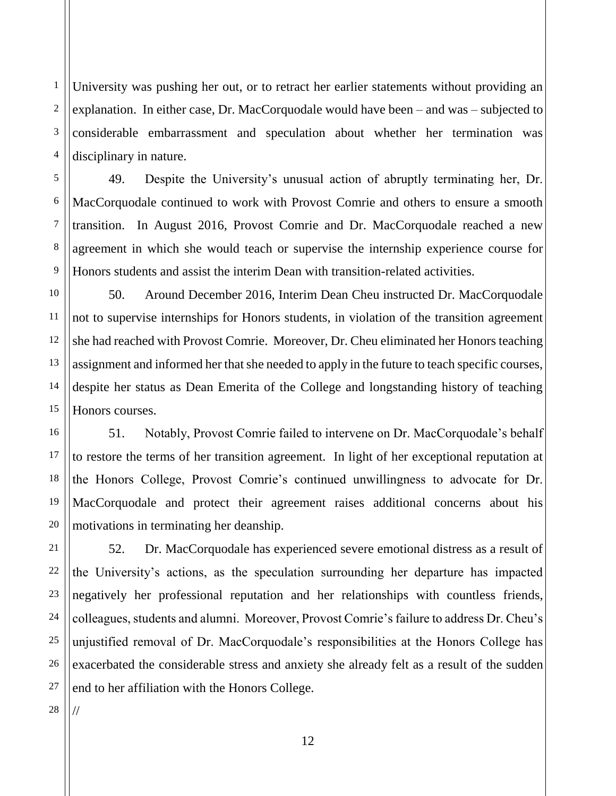1 2 3 4 University was pushing her out, or to retract her earlier statements without providing an explanation. In either case, Dr. MacCorquodale would have been – and was – subjected to considerable embarrassment and speculation about whether her termination was disciplinary in nature.

49. Despite the University's unusual action of abruptly terminating her, Dr. MacCorquodale continued to work with Provost Comrie and others to ensure a smooth transition. In August 2016, Provost Comrie and Dr. MacCorquodale reached a new agreement in which she would teach or supervise the internship experience course for Honors students and assist the interim Dean with transition-related activities.

12 50. Around December 2016, Interim Dean Cheu instructed Dr. MacCorquodale not to supervise internships for Honors students, in violation of the transition agreement she had reached with Provost Comrie. Moreover, Dr. Cheu eliminated her Honors teaching assignment and informed her that she needed to apply in the future to teach specific courses, despite her status as Dean Emerita of the College and longstanding history of teaching Honors courses.

51. Notably, Provost Comrie failed to intervene on Dr. MacCorquodale's behalf to restore the terms of her transition agreement. In light of her exceptional reputation at the Honors College, Provost Comrie's continued unwillingness to advocate for Dr. MacCorquodale and protect their agreement raises additional concerns about his motivations in terminating her deanship.

52. Dr. MacCorquodale has experienced severe emotional distress as a result of the University's actions, as the speculation surrounding her departure has impacted negatively her professional reputation and her relationships with countless friends, colleagues, students and alumni. Moreover, Provost Comrie's failure to address Dr. Cheu's unjustified removal of Dr. MacCorquodale's responsibilities at the Honors College has exacerbated the considerable stress and anxiety she already felt as a result of the sudden end to her affiliation with the Honors College.

28 //

5

6

7

8

9

10

11

13

14

15

16

17

18

19

20

21

22

23

24

25

26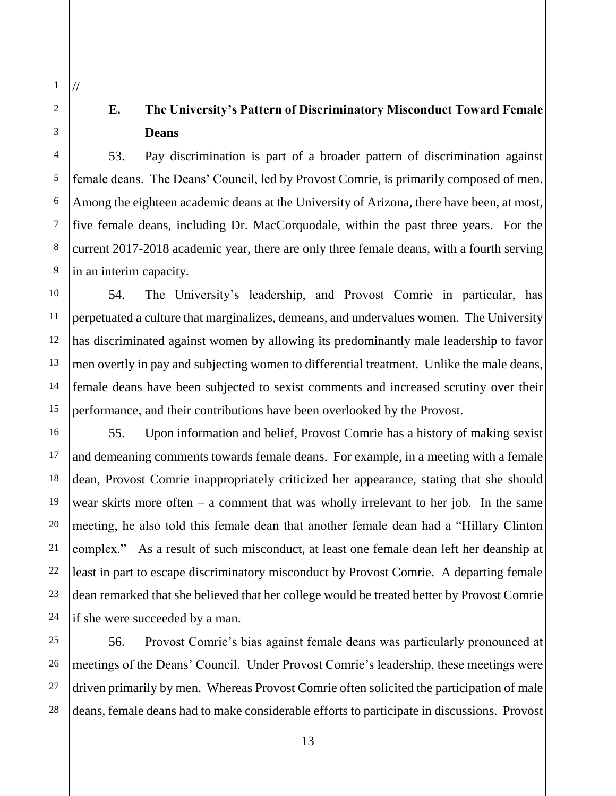# **E. The University's Pattern of Discriminatory Misconduct Toward Female Deans**

53. Pay discrimination is part of a broader pattern of discrimination against female deans. The Deans' Council, led by Provost Comrie, is primarily composed of men. Among the eighteen academic deans at the University of Arizona, there have been, at most, five female deans, including Dr. MacCorquodale, within the past three years. For the current 2017-2018 academic year, there are only three female deans, with a fourth serving in an interim capacity.

54. The University's leadership, and Provost Comrie in particular, has perpetuated a culture that marginalizes, demeans, and undervalues women. The University has discriminated against women by allowing its predominantly male leadership to favor men overtly in pay and subjecting women to differential treatment. Unlike the male deans, female deans have been subjected to sexist comments and increased scrutiny over their performance, and their contributions have been overlooked by the Provost.

55. Upon information and belief, Provost Comrie has a history of making sexist and demeaning comments towards female deans. For example, in a meeting with a female dean, Provost Comrie inappropriately criticized her appearance, stating that she should wear skirts more often  $-$  a comment that was wholly irrelevant to her job. In the same meeting, he also told this female dean that another female dean had a "Hillary Clinton complex." As a result of such misconduct, at least one female dean left her deanship at least in part to escape discriminatory misconduct by Provost Comrie. A departing female dean remarked that she believed that her college would be treated better by Provost Comrie if she were succeeded by a man.

56. Provost Comrie's bias against female deans was particularly pronounced at meetings of the Deans' Council. Under Provost Comrie's leadership, these meetings were driven primarily by men. Whereas Provost Comrie often solicited the participation of male deans, female deans had to make considerable efforts to participate in discussions. Provost

1

//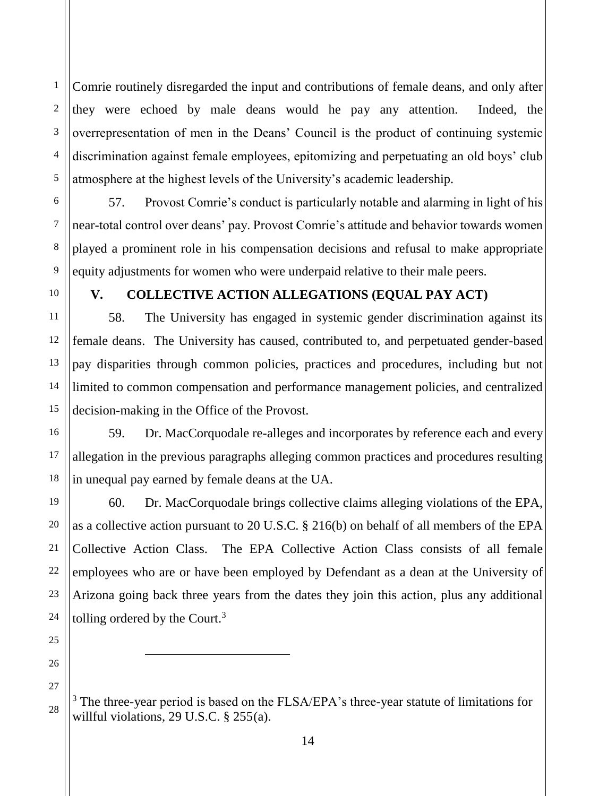2 3 Comrie routinely disregarded the input and contributions of female deans, and only after they were echoed by male deans would he pay any attention. Indeed, the overrepresentation of men in the Deans' Council is the product of continuing systemic discrimination against female employees, epitomizing and perpetuating an old boys' club atmosphere at the highest levels of the University's academic leadership.

57. Provost Comrie's conduct is particularly notable and alarming in light of his near-total control over deans' pay. Provost Comrie's attitude and behavior towards women played a prominent role in his compensation decisions and refusal to make appropriate equity adjustments for women who were underpaid relative to their male peers.

1

4

5

6

7

8

9

10

11

12

13

14

15

16

17

18

19

20

21

22

23

24

25

26

27

28

#### **V. COLLECTIVE ACTION ALLEGATIONS (EQUAL PAY ACT)**

58. The University has engaged in systemic gender discrimination against its female deans. The University has caused, contributed to, and perpetuated gender-based pay disparities through common policies, practices and procedures, including but not limited to common compensation and performance management policies, and centralized decision-making in the Office of the Provost.

59. Dr. MacCorquodale re-alleges and incorporates by reference each and every allegation in the previous paragraphs alleging common practices and procedures resulting in unequal pay earned by female deans at the UA.

60. Dr. MacCorquodale brings collective claims alleging violations of the EPA, as a collective action pursuant to 20 U.S.C. § 216(b) on behalf of all members of the EPA Collective Action Class. The EPA Collective Action Class consists of all female employees who are or have been employed by Defendant as a dean at the University of Arizona going back three years from the dates they join this action, plus any additional tolling ordered by the Court. $3$ 

 $3$  The three-year period is based on the FLSA/EPA's three-year statute of limitations for willful violations, 29 U.S.C. § 255(a).

 $\overline{\phantom{a}}$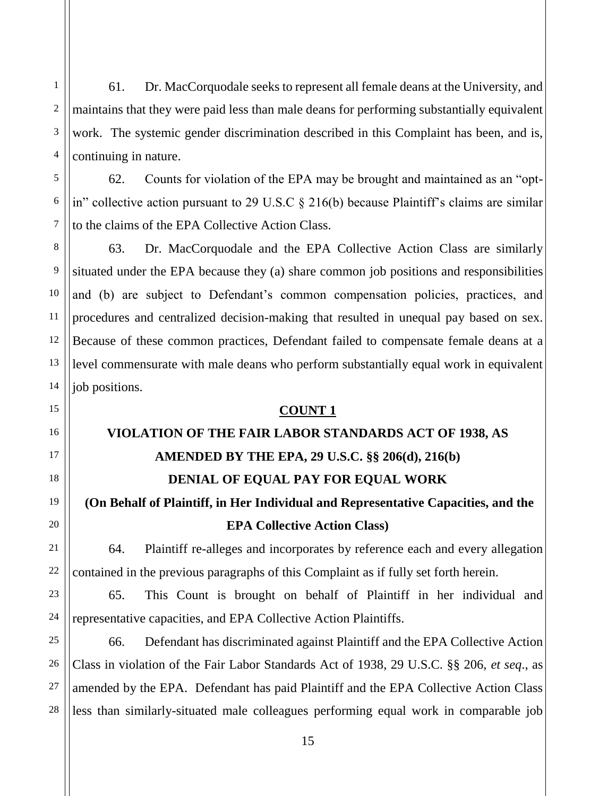61. Dr. MacCorquodale seeks to represent all female deans at the University, and maintains that they were paid less than male deans for performing substantially equivalent work. The systemic gender discrimination described in this Complaint has been, and is, continuing in nature.

62. Counts for violation of the EPA may be brought and maintained as an "optin" collective action pursuant to 29 U.S.C § 216(b) because Plaintiff's claims are similar to the claims of the EPA Collective Action Class.

63. Dr. MacCorquodale and the EPA Collective Action Class are similarly situated under the EPA because they (a) share common job positions and responsibilities and (b) are subject to Defendant's common compensation policies, practices, and procedures and centralized decision-making that resulted in unequal pay based on sex. Because of these common practices, Defendant failed to compensate female deans at a level commensurate with male deans who perform substantially equal work in equivalent job positions.

## **COUNT 1**

# **VIOLATION OF THE FAIR LABOR STANDARDS ACT OF 1938, AS AMENDED BY THE EPA, 29 U.S.C. §§ 206(d), 216(b) DENIAL OF EQUAL PAY FOR EQUAL WORK**

# **(On Behalf of Plaintiff, in Her Individual and Representative Capacities, and the EPA Collective Action Class)**

64. Plaintiff re-alleges and incorporates by reference each and every allegation contained in the previous paragraphs of this Complaint as if fully set forth herein.

65. This Count is brought on behalf of Plaintiff in her individual and representative capacities, and EPA Collective Action Plaintiffs.

66. Defendant has discriminated against Plaintiff and the EPA Collective Action Class in violation of the Fair Labor Standards Act of 1938, 29 U.S.C. §§ 206, *et seq*., as amended by the EPA. Defendant has paid Plaintiff and the EPA Collective Action Class less than similarly-situated male colleagues performing equal work in comparable job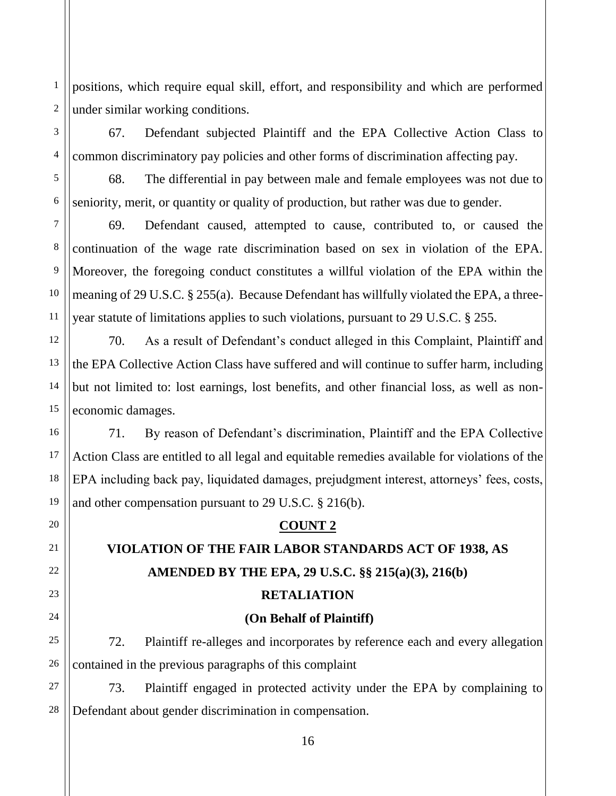1 2 positions, which require equal skill, effort, and responsibility and which are performed under similar working conditions.

67. Defendant subjected Plaintiff and the EPA Collective Action Class to common discriminatory pay policies and other forms of discrimination affecting pay.

68. The differential in pay between male and female employees was not due to seniority, merit, or quantity or quality of production, but rather was due to gender.

69. Defendant caused, attempted to cause, contributed to, or caused the continuation of the wage rate discrimination based on sex in violation of the EPA. Moreover, the foregoing conduct constitutes a willful violation of the EPA within the meaning of 29 U.S.C. § 255(a). Because Defendant has willfully violated the EPA, a threeyear statute of limitations applies to such violations, pursuant to 29 U.S.C. § 255.

70. As a result of Defendant's conduct alleged in this Complaint, Plaintiff and the EPA Collective Action Class have suffered and will continue to suffer harm, including but not limited to: lost earnings, lost benefits, and other financial loss, as well as noneconomic damages.

71. By reason of Defendant's discrimination, Plaintiff and the EPA Collective Action Class are entitled to all legal and equitable remedies available for violations of the EPA including back pay, liquidated damages, prejudgment interest, attorneys' fees, costs, and other compensation pursuant to 29 U.S.C. § 216(b).

## **COUNT 2**

# **VIOLATION OF THE FAIR LABOR STANDARDS ACT OF 1938, AS AMENDED BY THE EPA, 29 U.S.C. §§ 215(a)(3), 216(b)**

## **RETALIATION**

## **(On Behalf of Plaintiff)**

72. Plaintiff re-alleges and incorporates by reference each and every allegation contained in the previous paragraphs of this complaint

73. Plaintiff engaged in protected activity under the EPA by complaining to Defendant about gender discrimination in compensation.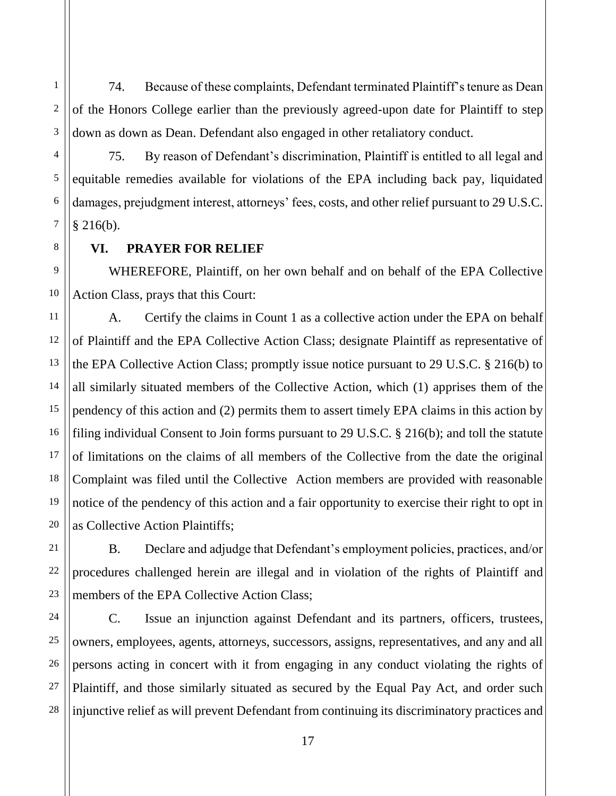2 3 74. Because of these complaints, Defendant terminated Plaintiff's tenure as Dean of the Honors College earlier than the previously agreed-upon date for Plaintiff to step down as down as Dean. Defendant also engaged in other retaliatory conduct.

75. By reason of Defendant's discrimination, Plaintiff is entitled to all legal and equitable remedies available for violations of the EPA including back pay, liquidated damages, prejudgment interest, attorneys' fees, costs, and other relief pursuant to 29 U.S.C.  $§$  216(b).

## **VI. PRAYER FOR RELIEF**

1

4

5

6

7

8

11

12

13

14

15

16

17

18

19

20

21

22

23

27

9 10 WHEREFORE, Plaintiff, on her own behalf and on behalf of the EPA Collective Action Class, prays that this Court:

A. Certify the claims in Count 1 as a collective action under the EPA on behalf of Plaintiff and the EPA Collective Action Class; designate Plaintiff as representative of the EPA Collective Action Class; promptly issue notice pursuant to 29 U.S.C. § 216(b) to all similarly situated members of the Collective Action, which (1) apprises them of the pendency of this action and (2) permits them to assert timely EPA claims in this action by filing individual Consent to Join forms pursuant to 29 U.S.C. § 216(b); and toll the statute of limitations on the claims of all members of the Collective from the date the original Complaint was filed until the Collective Action members are provided with reasonable notice of the pendency of this action and a fair opportunity to exercise their right to opt in as Collective Action Plaintiffs;

B. Declare and adjudge that Defendant's employment policies, practices, and/or procedures challenged herein are illegal and in violation of the rights of Plaintiff and members of the EPA Collective Action Class;

24 25 26 28 C. Issue an injunction against Defendant and its partners, officers, trustees, owners, employees, agents, attorneys, successors, assigns, representatives, and any and all persons acting in concert with it from engaging in any conduct violating the rights of Plaintiff, and those similarly situated as secured by the Equal Pay Act, and order such injunctive relief as will prevent Defendant from continuing its discriminatory practices and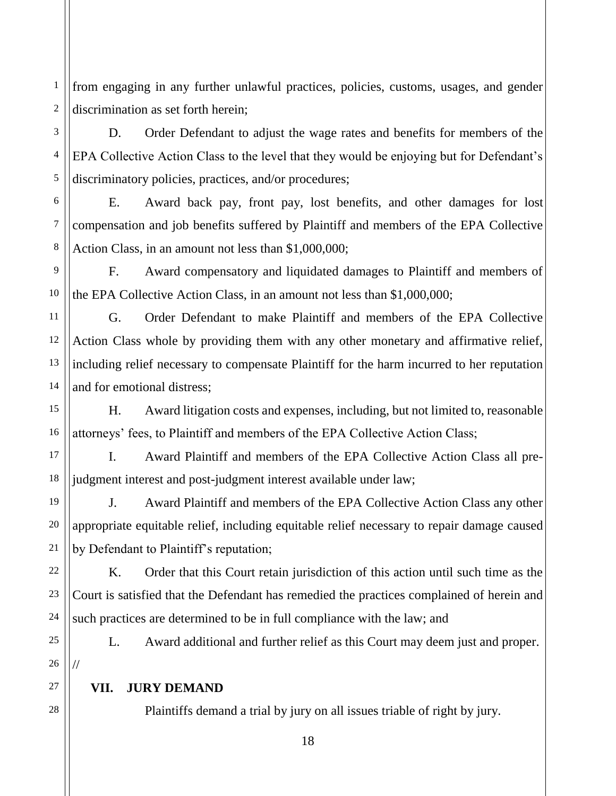1 2 from engaging in any further unlawful practices, policies, customs, usages, and gender discrimination as set forth herein;

3 4 D. Order Defendant to adjust the wage rates and benefits for members of the EPA Collective Action Class to the level that they would be enjoying but for Defendant's discriminatory policies, practices, and/or procedures;

6 7 8 E. Award back pay, front pay, lost benefits, and other damages for lost compensation and job benefits suffered by Plaintiff and members of the EPA Collective Action Class, in an amount not less than \$1,000,000;

9 10 F. Award compensatory and liquidated damages to Plaintiff and members of the EPA Collective Action Class, in an amount not less than \$1,000,000;

G. Order Defendant to make Plaintiff and members of the EPA Collective Action Class whole by providing them with any other monetary and affirmative relief, including relief necessary to compensate Plaintiff for the harm incurred to her reputation and for emotional distress;

H. Award litigation costs and expenses, including, but not limited to, reasonable attorneys' fees, to Plaintiff and members of the EPA Collective Action Class;

I. Award Plaintiff and members of the EPA Collective Action Class all prejudgment interest and post-judgment interest available under law;

J. Award Plaintiff and members of the EPA Collective Action Class any other appropriate equitable relief, including equitable relief necessary to repair damage caused by Defendant to Plaintiff's reputation;

K. Order that this Court retain jurisdiction of this action until such time as the Court is satisfied that the Defendant has remedied the practices complained of herein and such practices are determined to be in full compliance with the law; and

L. Award additional and further relief as this Court may deem just and proper. //

## **VII. JURY DEMAND**

5

11

12

13

14

15

16

17

18

19

20

21

22

23

24

25

26

27

28

Plaintiffs demand a trial by jury on all issues triable of right by jury.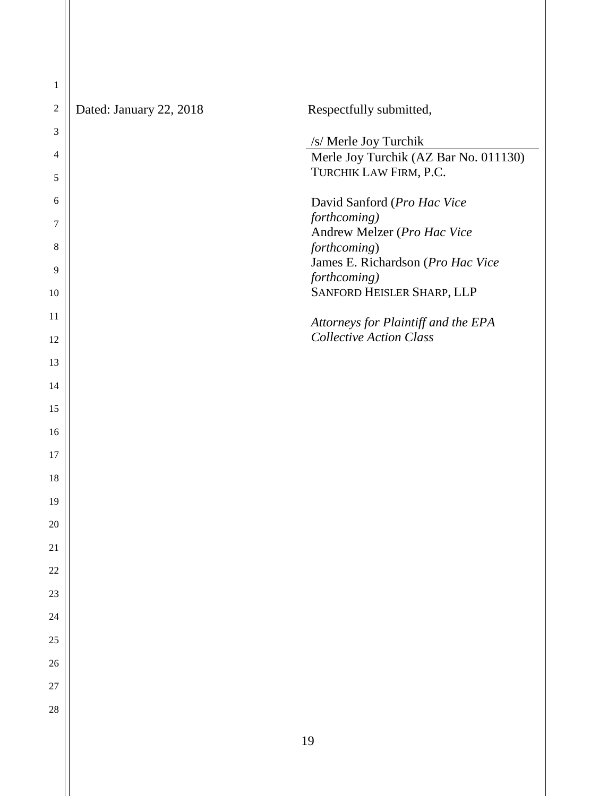| Dated: January 22, 2018 | Respectfully submitted,                                               |
|-------------------------|-----------------------------------------------------------------------|
|                         | /s/ Merle Joy Turchik                                                 |
|                         | Merle Joy Turchik (AZ Bar No. 011130)                                 |
|                         | TURCHIK LAW FIRM, P.C.                                                |
|                         | David Sanford (Pro Hac Vice<br>forthcoming)                           |
|                         | Andrew Melzer (Pro Hac Vice                                           |
|                         | forthcoming)<br>James E. Richardson (Pro Hac Vice                     |
|                         | forthcoming)                                                          |
|                         | SANFORD HEISLER SHARP, LLP                                            |
|                         | Attorneys for Plaintiff and the EPA<br><b>Collective Action Class</b> |
|                         |                                                                       |
|                         |                                                                       |
|                         |                                                                       |
|                         |                                                                       |
|                         |                                                                       |
|                         |                                                                       |
|                         |                                                                       |
|                         |                                                                       |
|                         |                                                                       |
|                         |                                                                       |
|                         |                                                                       |
|                         |                                                                       |
|                         |                                                                       |
|                         |                                                                       |
|                         |                                                                       |
|                         |                                                                       |
|                         | 19                                                                    |
|                         |                                                                       |